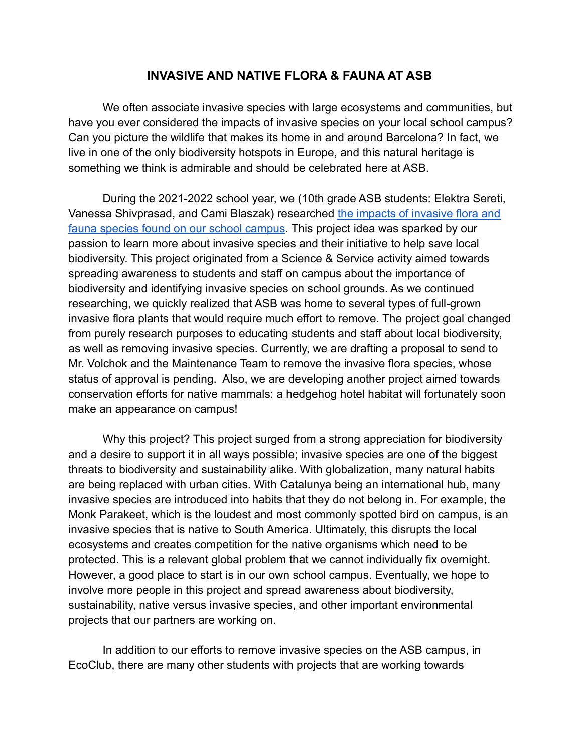## **INVASIVE AND NATIVE FLORA & FAUNA AT ASB**

We often associate invasive species with large ecosystems and communities, but have you ever considered the impacts of invasive species on your local school campus? Can you picture the wildlife that makes its home in and around Barcelona? In fact, we live in one of the only biodiversity hotspots in Europe, and this natural heritage is something we think is admirable and should be celebrated here at ASB.

During the 2021-2022 school year, we (10th grade ASB students: Elektra Sereti, Vanessa Shivprasad, and Cami Blaszak) researched the [impacts of invasive flora and](https://www.canva.com/design/DAEwiLEI8G0/8vHbTBBle5FPBP7JHo_8yg/edit?utm_content=DAEwiLEI8G0&utm_campaign=designshare&utm_medium=link2&utm_source=sharebutton) [fauna species found on our school campus](https://www.canva.com/design/DAEwiLEI8G0/8vHbTBBle5FPBP7JHo_8yg/edit?utm_content=DAEwiLEI8G0&utm_campaign=designshare&utm_medium=link2&utm_source=sharebutton). This project idea was sparked by our passion to learn more about invasive species and their initiative to help save local biodiversity. This project originated from a Science & Service activity aimed towards spreading awareness to students and staff on campus about the importance of biodiversity and identifying invasive species on school grounds. As we continued researching, we quickly realized that ASB was home to several types of full-grown invasive flora plants that would require much effort to remove. The project goal changed from purely research purposes to educating students and staff about local biodiversity, as well as removing invasive species. Currently, we are drafting a proposal to send to Mr. Volchok and the Maintenance Team to remove the invasive flora species, whose status of approval is pending. Also, we are developing another project aimed towards conservation efforts for native mammals: a hedgehog hotel habitat will fortunately soon make an appearance on campus!

Why this project? This project surged from a strong appreciation for biodiversity and a desire to support it in all ways possible; invasive species are one of the biggest threats to biodiversity and sustainability alike. With globalization, many natural habits are being replaced with urban cities. With Catalunya being an international hub, many invasive species are introduced into habits that they do not belong in. For example, the Monk Parakeet, which is the loudest and most commonly spotted bird on campus, is an invasive species that is native to South America. Ultimately, this disrupts the local ecosystems and creates competition for the native organisms which need to be protected. This is a relevant global problem that we cannot individually fix overnight. However, a good place to start is in our own school campus. Eventually, we hope to involve more people in this project and spread awareness about biodiversity, sustainability, native versus invasive species, and other important environmental projects that our partners are working on.

In addition to our efforts to remove invasive species on the ASB campus, in EcoClub, there are many other students with projects that are working towards